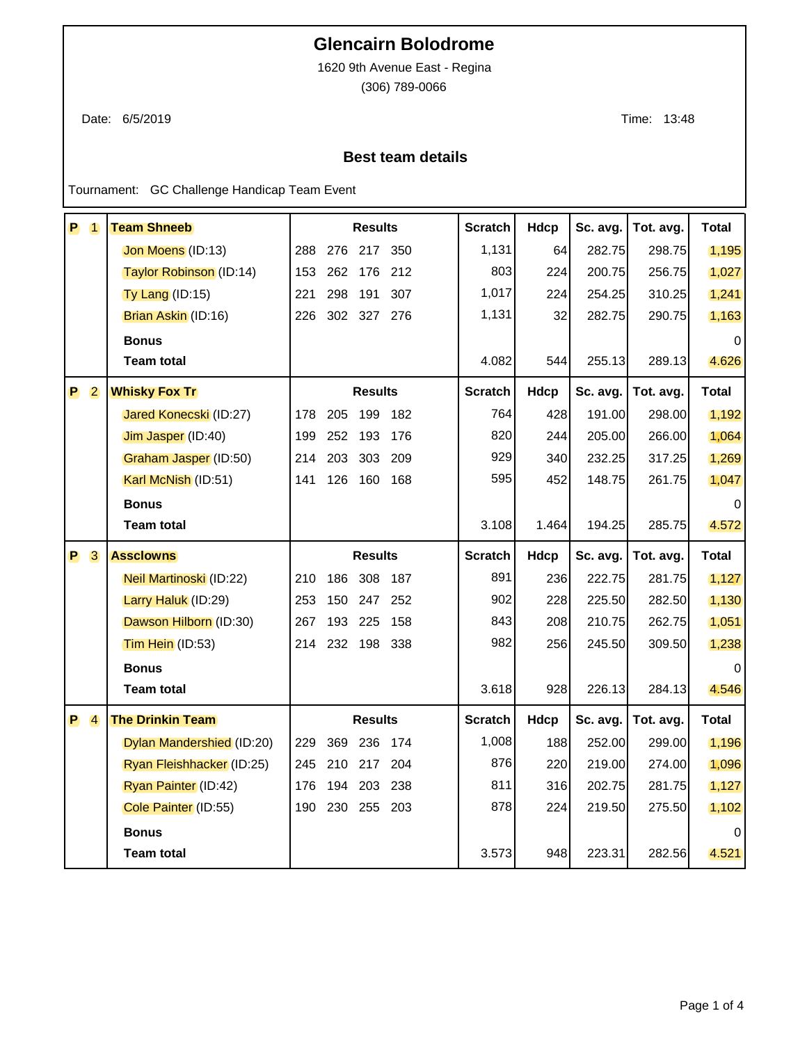## **Glencairn Bolodrome**

1620 9th Avenue East - Regina

(306) 789-0066

Date: 6/5/2019 Time: 13:48

## **Best team details**

Tournament: GC Challenge Handicap Team Event

| P | $\overline{1}$ | <b>Team Shneeb</b>        |     |     | <b>Results</b> |         | <b>Scratch</b> | Hdcp        | Sc. avg. | Tot. avg. | Total        |
|---|----------------|---------------------------|-----|-----|----------------|---------|----------------|-------------|----------|-----------|--------------|
|   |                | Jon Moens (ID:13)         | 288 | 276 | 217            | 350     | 1,131          | 64          | 282.75   | 298.75    | 1,195        |
|   |                | Taylor Robinson (ID:14)   | 153 | 262 | 176            | 212     | 803            | 224         | 200.75   | 256.75    | 1,027        |
|   |                | $Ty$ Lang (ID:15)         | 221 | 298 | 191            | 307     | 1,017          | 224         | 254.25   | 310.25    | 1,241        |
|   |                | Brian Askin (ID:16)       | 226 | 302 | 327 276        |         | 1,131          | 32          | 282.75   | 290.75    | 1,163        |
|   |                | <b>Bonus</b>              |     |     |                |         |                |             |          |           | $\Omega$     |
|   |                | <b>Team total</b>         |     |     |                |         | 4.082          | 544         | 255.13   | 289.13    | 4.626        |
| P | $\overline{2}$ | <b>Whisky Fox Tr</b>      |     |     | <b>Results</b> |         | <b>Scratch</b> | <b>Hdcp</b> | Sc. avg. | Tot. avg. | <b>Total</b> |
|   |                | Jared Konecski (ID:27)    | 178 | 205 | 199 182        |         | 764            | 428         | 191.00   | 298.00    | 1,192        |
|   |                | Jim Jasper (ID:40)        | 199 | 252 | 193            | 176     | 820            | 244         | 205.00   | 266.00    | 1,064        |
|   |                | Graham Jasper (ID:50)     | 214 | 203 | 303            | 209     | 929            | 340         | 232.25   | 317.25    | 1,269        |
|   |                | Karl McNish (ID:51)       | 141 | 126 | 160            | 168     | 595            | 452         | 148.75   | 261.75    | 1,047        |
|   |                | <b>Bonus</b>              |     |     |                |         |                |             |          |           |              |
|   |                | <b>Team total</b>         |     |     |                |         | 3.108          | 1.464       | 194.25   | 285.75    | 4.572        |
|   |                |                           |     |     |                |         |                |             |          |           |              |
| P | 3              | <b>Assclowns</b>          |     |     | <b>Results</b> |         | <b>Scratch</b> | Hdcp        | Sc. avg. | Tot. avg. | <b>Total</b> |
|   |                | Neil Martinoski (ID:22)   | 210 | 186 | 308            | 187     | 891            | 236         | 222.75   | 281.75    | 1,127        |
|   |                | Larry Haluk (ID:29)       | 253 | 150 | 247 252        |         | 902            | 228         | 225.50   | 282.50    | 1,130        |
|   |                | Dawson Hilborn (ID:30)    | 267 | 193 | 225            | 158     | 843            | 208         | 210.75   | 262.75    | 1,051        |
|   |                | Tim Hein (ID:53)          | 214 | 232 | 198 338        |         | 982            | 256         | 245.50   | 309.50    | 1,238        |
|   |                | <b>Bonus</b>              |     |     |                |         |                |             |          |           | $\Omega$     |
|   |                | <b>Team total</b>         |     |     |                |         | 3.618          | 928         | 226.13   | 284.13    | 4.546        |
| P | $\overline{4}$ | <b>The Drinkin Team</b>   |     |     | <b>Results</b> |         | <b>Scratch</b> | Hdcp        | Sc. avg. | Tot. avg. | <b>Total</b> |
|   |                | Dylan Mandershied (ID:20) | 229 | 369 | 236            | 174     | 1,008          | 188         | 252.00   | 299.00    | 1,196        |
|   |                | Ryan Fleishhacker (ID:25) | 245 | 210 | 217            | 204     | 876            | 220         | 219.00   | 274.00    | 1,096        |
|   |                | Ryan Painter (ID:42)      | 176 | 194 |                | 203 238 | 811            | 316         | 202.75   | 281.75    | 1,127        |
|   |                | Cole Painter (ID:55)      | 190 | 230 | 255            | 203     | 878            | 224         | 219.50   | 275.50    | 1,102        |
|   |                | <b>Bonus</b>              |     |     |                |         |                |             |          |           | $\Omega$     |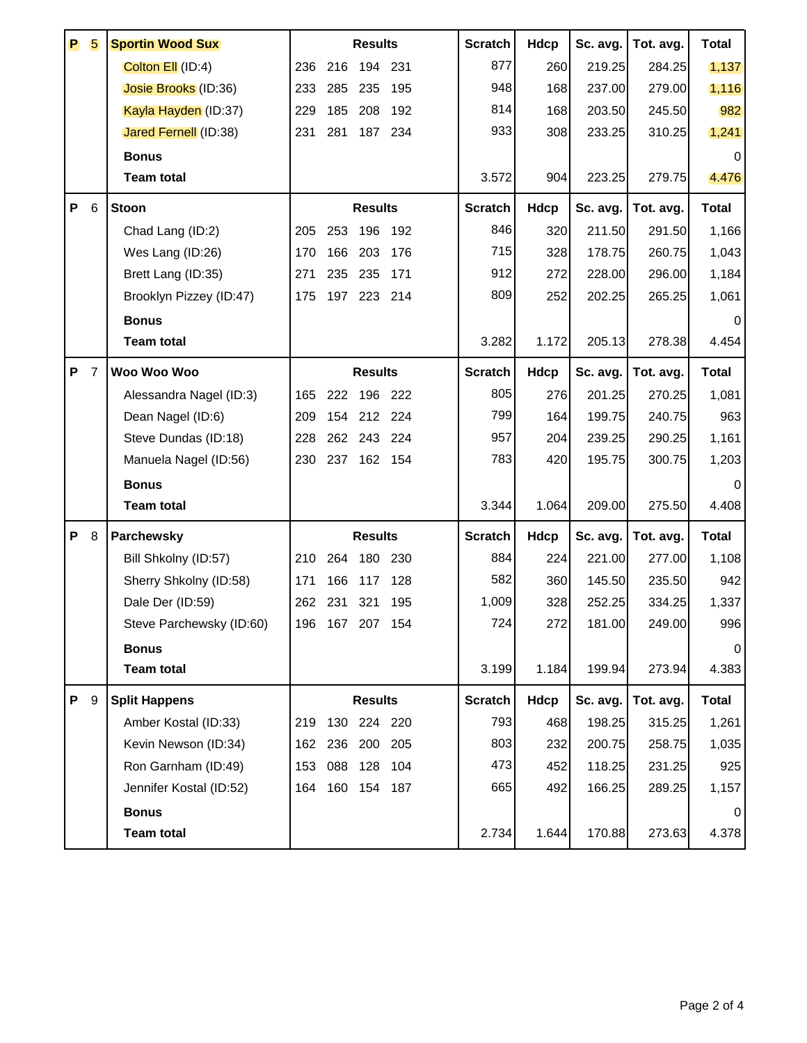| P | 5              | <b>Sportin Wood Sux</b>      |     |     | <b>Results</b>  |         | <b>Scratch</b> | Hdcp        | Sc. avg. | Tot. avg. | <b>Total</b> |
|---|----------------|------------------------------|-----|-----|-----------------|---------|----------------|-------------|----------|-----------|--------------|
|   |                | Colton Ell (ID:4)            | 236 | 216 | 194             | 231     | 877            | 260         | 219.25   | 284.25    | 1,137        |
|   |                | Josie Brooks (ID:36)         | 233 | 285 | 235             | 195     | 948            | 168         | 237.00   | 279.00    | 1,116        |
|   |                | Kayla Hayden (ID:37)         | 229 | 185 | 208             | 192     | 814            | 168         | 203.50   | 245.50    | 982          |
|   |                | <b>Jared Fernell (ID:38)</b> | 231 | 281 |                 | 187 234 | 933            | 308         | 233.25   | 310.25    | 1,241        |
|   |                | <b>Bonus</b>                 |     |     |                 |         |                |             |          |           | 0            |
|   |                | <b>Team total</b>            |     |     |                 |         | 3.572          | 904         | 223.25   | 279.75    | 4.476        |
| P | 6              | <b>Stoon</b>                 |     |     | <b>Results</b>  |         | <b>Scratch</b> | <b>Hdcp</b> | Sc. avg. | Tot. avg. | <b>Total</b> |
|   |                | Chad Lang (ID:2)             | 205 | 253 | 196             | 192     | 846            | 320         | 211.50   | 291.50    | 1,166        |
|   |                | Wes Lang (ID:26)             | 170 | 166 | 203             | 176     | 715            | 328         | 178.75   | 260.75    | 1,043        |
|   |                | Brett Lang (ID:35)           | 271 | 235 | 235             | 171     | 912            | 272         | 228.00   | 296.00    | 1,184        |
|   |                | Brooklyn Pizzey (ID:47)      | 175 | 197 | 223             | 214     | 809            | 252         | 202.25   | 265.25    | 1,061        |
|   |                | <b>Bonus</b>                 |     |     |                 |         |                |             |          |           |              |
|   |                | <b>Team total</b>            |     |     |                 |         | 3.282          | 1.172       | 205.13   | 278.38    | 4.454        |
| P | $\overline{7}$ | Woo Woo Woo                  |     |     | <b>Results</b>  |         | <b>Scratch</b> | Hdcp        | Sc. avg. | Tot. avg. | <b>Total</b> |
|   |                | Alessandra Nagel (ID:3)      | 165 | 222 | 196             | 222     | 805            | 276         | 201.25   | 270.25    | 1,081        |
|   |                | Dean Nagel (ID:6)            | 209 | 154 |                 | 212 224 | 799            | 164         | 199.75   | 240.75    | 963          |
|   |                | Steve Dundas (ID:18)         | 228 | 262 | 243             | 224     | 957            | 204         | 239.25   | 290.25    | 1,161        |
|   |                | Manuela Nagel (ID:56)        | 230 | 237 |                 | 162 154 | 783            | 420         | 195.75   | 300.75    | 1,203        |
|   |                | <b>Bonus</b>                 |     |     |                 |         |                |             |          |           | $\Omega$     |
|   |                | <b>Team total</b>            |     |     |                 |         | 3.344          | 1.064       | 209.00   | 275.50    | 4.408        |
| P | 8              | Parchewsky                   |     |     | <b>Results</b>  |         | <b>Scratch</b> | <b>Hdcp</b> | Sc. avg. | Tot. avg. | <b>Total</b> |
|   |                | Bill Shkolny (ID:57)         | 210 | 264 | 180             | 230     | 884            | 224         | 221.00   | 277.00    | 1,108        |
|   |                | Sherry Shkolny (ID:58)       | 171 | 166 | 117             | 128     | 582            | 360         | 145.50   | 235.50    | 942          |
|   |                | Dale Der (ID:59)             | 262 | 231 | 321             | 195     | 1,009          | 328         | 252.25   | 334.25    | 1,337        |
|   |                | Steve Parchewsky (ID:60)     |     |     | 196 167 207 154 |         | 724            | 272         | 181.00   | 249.00    | 996          |
|   |                | <b>Bonus</b>                 |     |     |                 |         |                |             |          |           | 0            |
|   |                | <b>Team total</b>            |     |     |                 |         | 3.199          | 1.184       | 199.94   | 273.94    | 4.383        |
| P | -9             | <b>Split Happens</b>         |     |     | <b>Results</b>  |         | <b>Scratch</b> | <b>Hdcp</b> | Sc. avg. | Tot. avg. | <b>Total</b> |
|   |                | Amber Kostal (ID:33)         | 219 | 130 |                 | 224 220 | 793            | 468         | 198.25   | 315.25    | 1,261        |
|   |                | Kevin Newson (ID:34)         | 162 | 236 | 200             | 205     | 803            | 232         | 200.75   | 258.75    | 1,035        |
|   |                | Ron Garnham (ID:49)          | 153 | 088 | 128             | 104     | 473            | 452         | 118.25   | 231.25    | 925          |
|   |                | Jennifer Kostal (ID:52)      | 164 |     | 160 154 187     |         | 665            | 492         | 166.25   | 289.25    | 1,157        |
|   |                | <b>Bonus</b>                 |     |     |                 |         |                |             |          |           | 0            |
|   |                | <b>Team total</b>            |     |     |                 |         | 2.734          | 1.644       | 170.88   | 273.63    | 4.378        |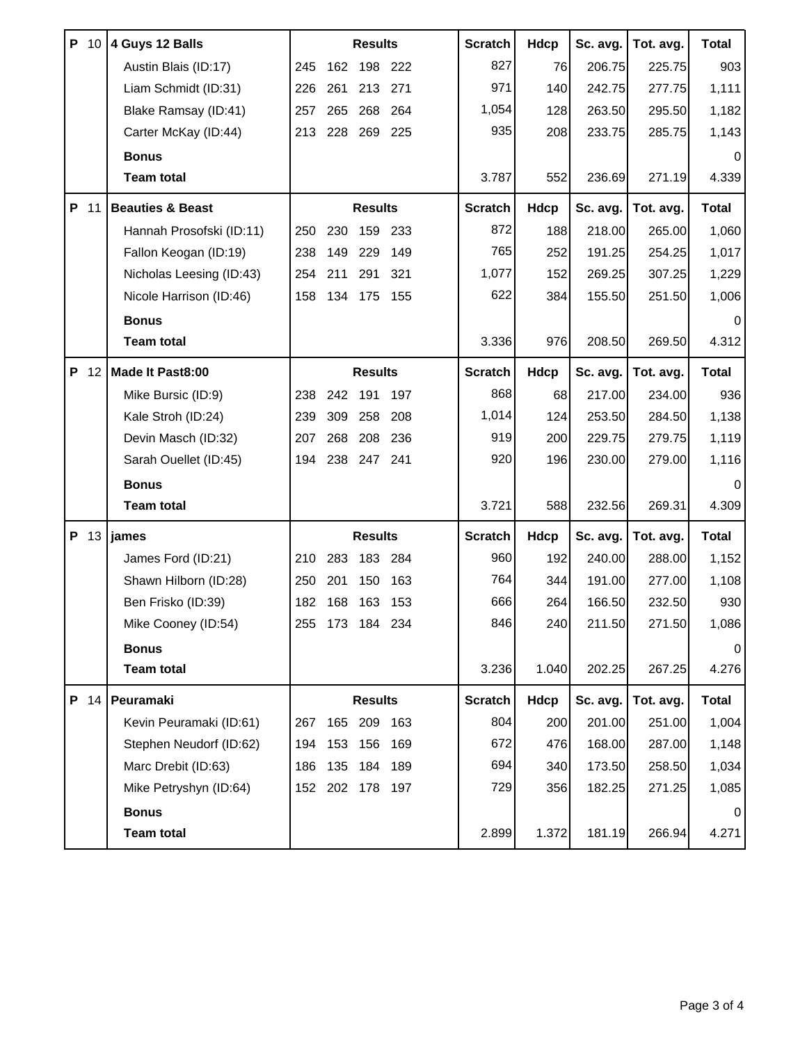|   | P 10 | 4 Guys 12 Balls             |     |     | <b>Results</b>  |         | <b>Scratch</b> | Hdcp        | Sc. avg. | Tot. avg. | <b>Total</b> |
|---|------|-----------------------------|-----|-----|-----------------|---------|----------------|-------------|----------|-----------|--------------|
|   |      | Austin Blais (ID:17)        | 245 | 162 | 198             | 222     | 827            | 76          | 206.75   | 225.75    | 903          |
|   |      | Liam Schmidt (ID:31)        | 226 | 261 | 213             | 271     | 971            | 140         | 242.75   | 277.75    | 1,111        |
|   |      | Blake Ramsay (ID:41)        | 257 | 265 | 268             | 264     | 1,054          | 128         | 263.50   | 295.50    | 1,182        |
|   |      | Carter McKay (ID:44)        | 213 | 228 |                 | 269 225 | 935            | 208         | 233.75   | 285.75    | 1,143        |
|   |      | <b>Bonus</b>                |     |     |                 |         |                |             |          |           | 0            |
|   |      | <b>Team total</b>           |     |     |                 |         | 3.787          | 552         | 236.69   | 271.19    | 4.339        |
| P | 11   | <b>Beauties &amp; Beast</b> |     |     | <b>Results</b>  |         | <b>Scratch</b> | <b>Hdcp</b> | Sc. avg. | Tot. avg. | <b>Total</b> |
|   |      | Hannah Prosofski (ID:11)    | 250 | 230 | 159             | 233     | 872            | 188         | 218.00   | 265.00    | 1,060        |
|   |      | Fallon Keogan (ID:19)       | 238 | 149 | 229             | 149     | 765            | 252         | 191.25   | 254.25    | 1,017        |
|   |      | Nicholas Leesing (ID:43)    | 254 | 211 | 291             | 321     | 1,077          | 152         | 269.25   | 307.25    | 1,229        |
|   |      | Nicole Harrison (ID:46)     | 158 | 134 | 175             | 155     | 622            | 384         | 155.50   | 251.50    | 1,006        |
|   |      | <b>Bonus</b>                |     |     |                 |         |                |             |          |           | $\Omega$     |
|   |      | <b>Team total</b>           |     |     |                 |         | 3.336          | 976         | 208.50   | 269.50    | 4.312        |
| P | 12   | Made It Past8:00            |     |     | <b>Results</b>  |         | <b>Scratch</b> | Hdcp        | Sc. avg. | Tot. avg. | <b>Total</b> |
|   |      | Mike Bursic (ID:9)          | 238 | 242 | 191             | 197     | 868            | 68          | 217.00   | 234.00    | 936          |
|   |      | Kale Stroh (ID:24)          | 239 | 309 | 258             | 208     | 1,014          | 124         | 253.50   | 284.50    | 1,138        |
|   |      | Devin Masch (ID:32)         | 207 | 268 | 208             | 236     | 919            | 200         | 229.75   | 279.75    | 1,119        |
|   |      | Sarah Ouellet (ID:45)       | 194 | 238 | 247             | 241     | 920            | 196         | 230.00   | 279.00    | 1,116        |
|   |      | <b>Bonus</b>                |     |     |                 |         |                |             |          |           | $\Omega$     |
|   |      | <b>Team total</b>           |     |     |                 |         | 3.721          | 588         | 232.56   | 269.31    | 4.309        |
| P | 13   | james                       |     |     | <b>Results</b>  |         | <b>Scratch</b> | <b>Hdcp</b> | Sc. avg. | Tot. avg. | <b>Total</b> |
|   |      | James Ford (ID:21)          | 210 | 283 | 183             | 284     | 960            | 192         | 240.00   | 288.00    | 1,152        |
|   |      | Shawn Hilborn (ID:28)       | 250 | 201 | 150             | 163     | 764            | 344         | 191.00   | 277.00    | 1,108        |
|   |      | Ben Frisko (ID:39)          | 182 | 168 | 163             | 153     | 666            | 264         | 166.50   | 232.50    | 930          |
|   |      | Mike Cooney (ID:54)         |     |     | 255 173 184 234 |         | 846            | 240         | 211.50   | 271.50    | 1,086        |
|   |      | <b>Bonus</b>                |     |     |                 |         |                |             |          |           | 0            |
|   |      | <b>Team total</b>           |     |     |                 |         | 3.236          | 1.040       | 202.25   | 267.25    | 4.276        |
|   | P 14 | Peuramaki                   |     |     | <b>Results</b>  |         | <b>Scratch</b> | <b>Hdcp</b> | Sc. avg. | Tot. avg. | <b>Total</b> |
|   |      | Kevin Peuramaki (ID:61)     | 267 | 165 | 209             | 163     | 804            | 200         | 201.00   | 251.00    | 1,004        |
|   |      | Stephen Neudorf (ID:62)     | 194 | 153 | 156             | 169     | 672            | 476         | 168.00   | 287.00    | 1,148        |
|   |      | Marc Drebit (ID:63)         | 186 | 135 | 184             | 189     | 694            | 340         | 173.50   | 258.50    | 1,034        |
|   |      | Mike Petryshyn (ID:64)      |     |     | 152 202 178 197 |         | 729            | 356         | 182.25   | 271.25    | 1,085        |
|   |      | <b>Bonus</b>                |     |     |                 |         |                |             |          |           | 0            |
|   |      | <b>Team total</b>           |     |     |                 |         | 2.899          | 1.372       | 181.19   | 266.94    | 4.271        |